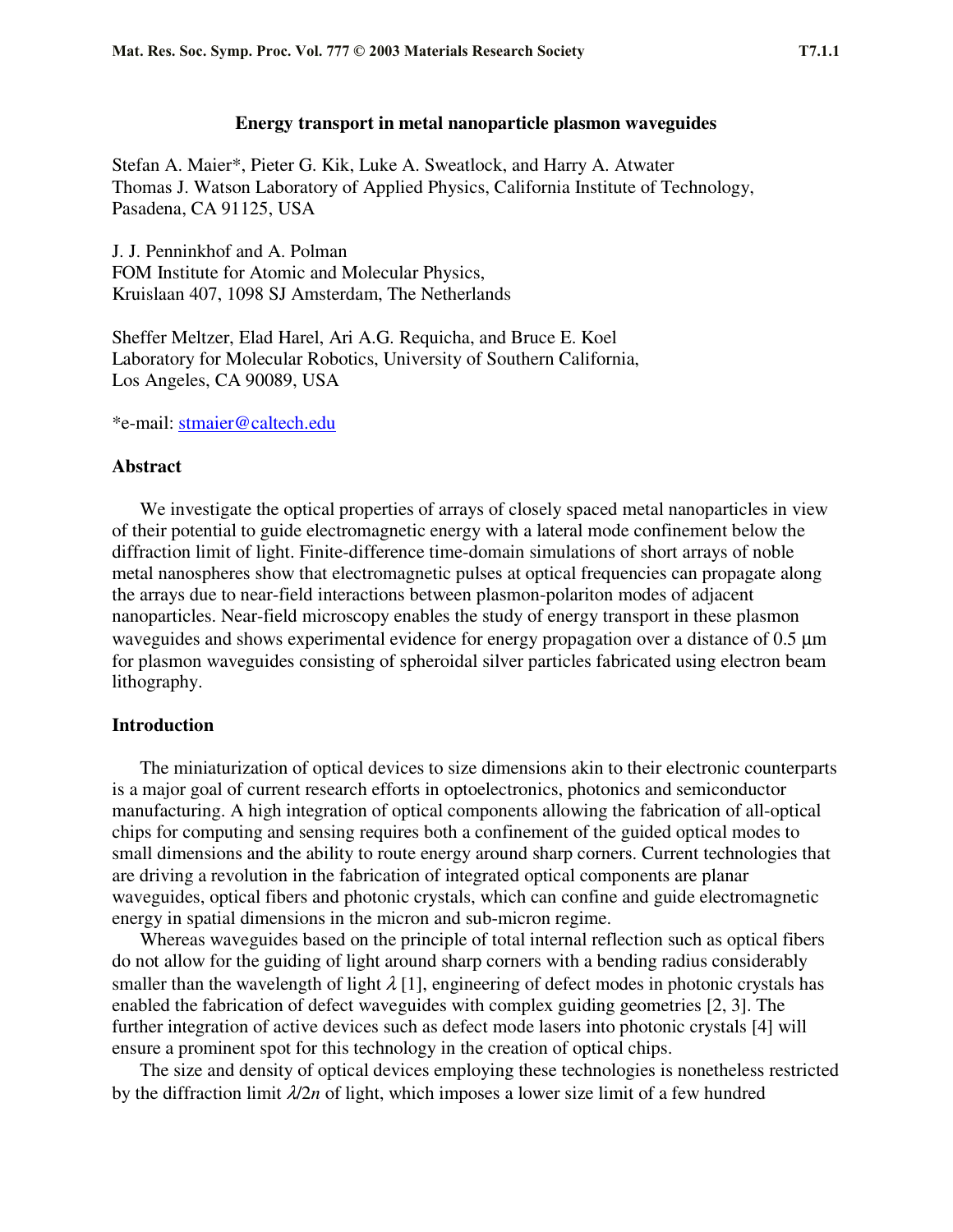## **Energy transport in metal nanoparticle plasmon waveguides**

Stefan A. Maier\*, Pieter G. Kik, Luke A. Sweatlock, and Harry A. Atwater Thomas J. Watson Laboratory of Applied Physics, California Institute of Technology, Pasadena, CA 91125, USA

J. J. Penninkhof and A. Polman FOM Institute for Atomic and Molecular Physics, Kruislaan 407, 1098 SJ Amsterdam, The Netherlands

Sheffer Meltzer, Elad Harel, Ari A.G. Requicha, and Bruce E. Koel Laboratory for Molecular Robotics, University of Southern California, Los Angeles, CA 90089, USA

\*e-mail: stmaier@caltech.edu

### **Abstract**

We investigate the optical properties of arrays of closely spaced metal nanoparticles in view of their potential to guide electromagnetic energy with a lateral mode confinement below the diffraction limit of light. Finite-difference time-domain simulations of short arrays of noble metal nanospheres show that electromagnetic pulses at optical frequencies can propagate along the arrays due to near-field interactions between plasmon-polariton modes of adjacent nanoparticles. Near-field microscopy enables the study of energy transport in these plasmon waveguides and shows experimental evidence for energy propagation over a distance of 0.5 μm for plasmon waveguides consisting of spheroidal silver particles fabricated using electron beam lithography.

## **Introduction**

The miniaturization of optical devices to size dimensions akin to their electronic counterparts is a major goal of current research efforts in optoelectronics, photonics and semiconductor manufacturing. A high integration of optical components allowing the fabrication of all-optical chips for computing and sensing requires both a confinement of the guided optical modes to small dimensions and the ability to route energy around sharp corners. Current technologies that are driving a revolution in the fabrication of integrated optical components are planar waveguides, optical fibers and photonic crystals, which can confine and guide electromagnetic energy in spatial dimensions in the micron and sub-micron regime.

Whereas waveguides based on the principle of total internal reflection such as optical fibers do not allow for the guiding of light around sharp corners with a bending radius considerably smaller than the wavelength of light  $\lambda$  [1], engineering of defect modes in photonic crystals has enabled the fabrication of defect waveguides with complex guiding geometries [2, 3]. The further integration of active devices such as defect mode lasers into photonic crystals [4] will ensure a prominent spot for this technology in the creation of optical chips.

The size and density of optical devices employing these technologies is nonetheless restricted by the diffraction limit  $\lambda/2n$  of light, which imposes a lower size limit of a few hundred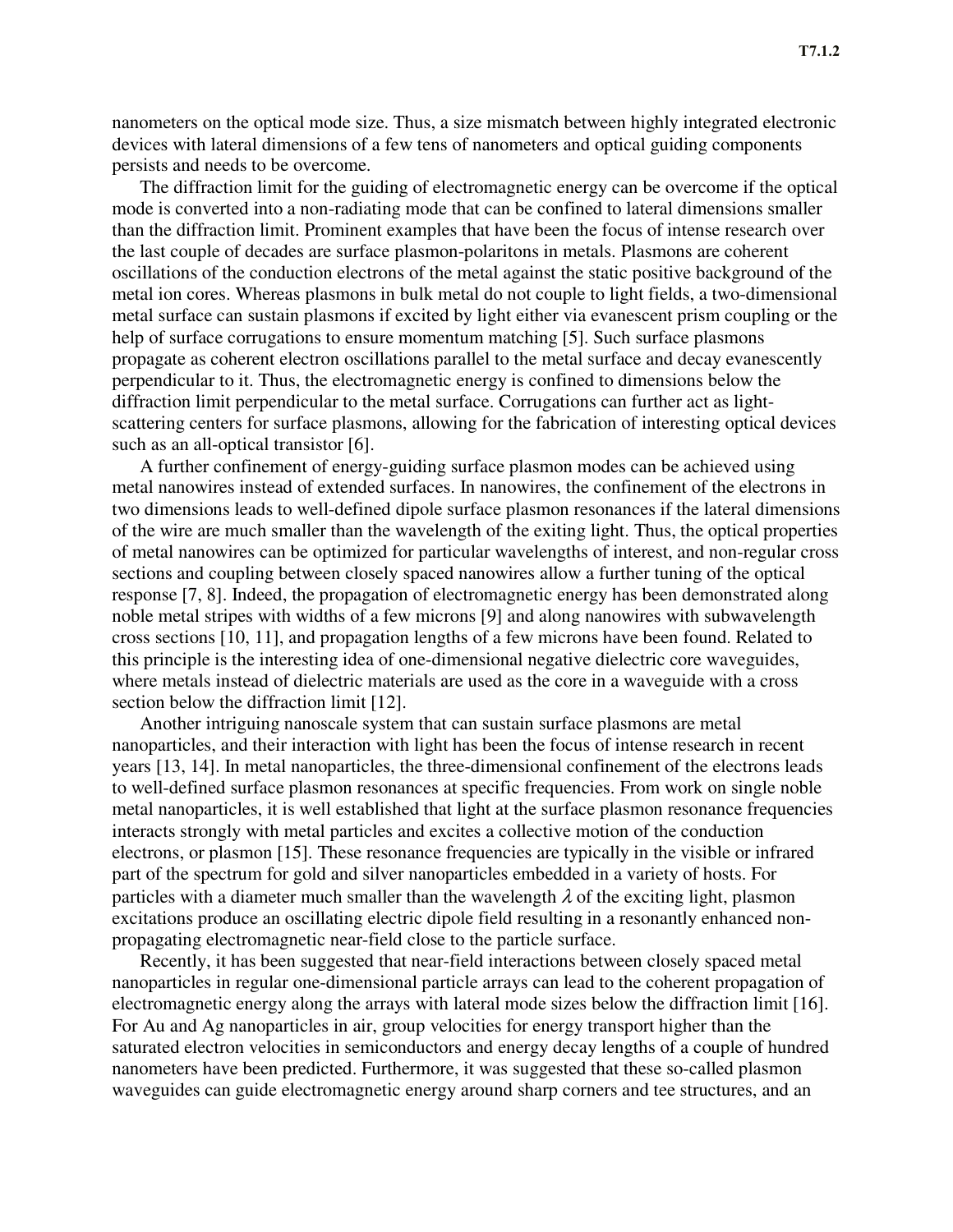nanometers on the optical mode size. Thus, a size mismatch between highly integrated electronic devices with lateral dimensions of a few tens of nanometers and optical guiding components persists and needs to be overcome.

The diffraction limit for the guiding of electromagnetic energy can be overcome if the optical mode is converted into a non-radiating mode that can be confined to lateral dimensions smaller than the diffraction limit. Prominent examples that have been the focus of intense research over the last couple of decades are surface plasmon-polaritons in metals. Plasmons are coherent oscillations of the conduction electrons of the metal against the static positive background of the metal ion cores. Whereas plasmons in bulk metal do not couple to light fields, a two-dimensional metal surface can sustain plasmons if excited by light either via evanescent prism coupling or the help of surface corrugations to ensure momentum matching [5]. Such surface plasmons propagate as coherent electron oscillations parallel to the metal surface and decay evanescently perpendicular to it. Thus, the electromagnetic energy is confined to dimensions below the diffraction limit perpendicular to the metal surface. Corrugations can further act as lightscattering centers for surface plasmons, allowing for the fabrication of interesting optical devices such as an all-optical transistor [6].

A further confinement of energy-guiding surface plasmon modes can be achieved using metal nanowires instead of extended surfaces. In nanowires, the confinement of the electrons in two dimensions leads to well-defined dipole surface plasmon resonances if the lateral dimensions of the wire are much smaller than the wavelength of the exiting light. Thus, the optical properties of metal nanowires can be optimized for particular wavelengths of interest, and non-regular cross sections and coupling between closely spaced nanowires allow a further tuning of the optical response [7, 8]. Indeed, the propagation of electromagnetic energy has been demonstrated along noble metal stripes with widths of a few microns [9] and along nanowires with subwavelength cross sections [10, 11], and propagation lengths of a few microns have been found. Related to this principle is the interesting idea of one-dimensional negative dielectric core waveguides, where metals instead of dielectric materials are used as the core in a waveguide with a cross section below the diffraction limit [12].

Another intriguing nanoscale system that can sustain surface plasmons are metal nanoparticles, and their interaction with light has been the focus of intense research in recent years [13, 14]. In metal nanoparticles, the three-dimensional confinement of the electrons leads to well-defined surface plasmon resonances at specific frequencies. From work on single noble metal nanoparticles, it is well established that light at the surface plasmon resonance frequencies interacts strongly with metal particles and excites a collective motion of the conduction electrons, or plasmon [15]. These resonance frequencies are typically in the visible or infrared part of the spectrum for gold and silver nanoparticles embedded in a variety of hosts. For particles with a diameter much smaller than the wavelength  $\lambda$  of the exciting light, plasmon excitations produce an oscillating electric dipole field resulting in a resonantly enhanced nonpropagating electromagnetic near-field close to the particle surface.

Recently, it has been suggested that near-field interactions between closely spaced metal nanoparticles in regular one-dimensional particle arrays can lead to the coherent propagation of electromagnetic energy along the arrays with lateral mode sizes below the diffraction limit [16]. For Au and Ag nanoparticles in air, group velocities for energy transport higher than the saturated electron velocities in semiconductors and energy decay lengths of a couple of hundred nanometers have been predicted. Furthermore, it was suggested that these so-called plasmon waveguides can guide electromagnetic energy around sharp corners and tee structures, and an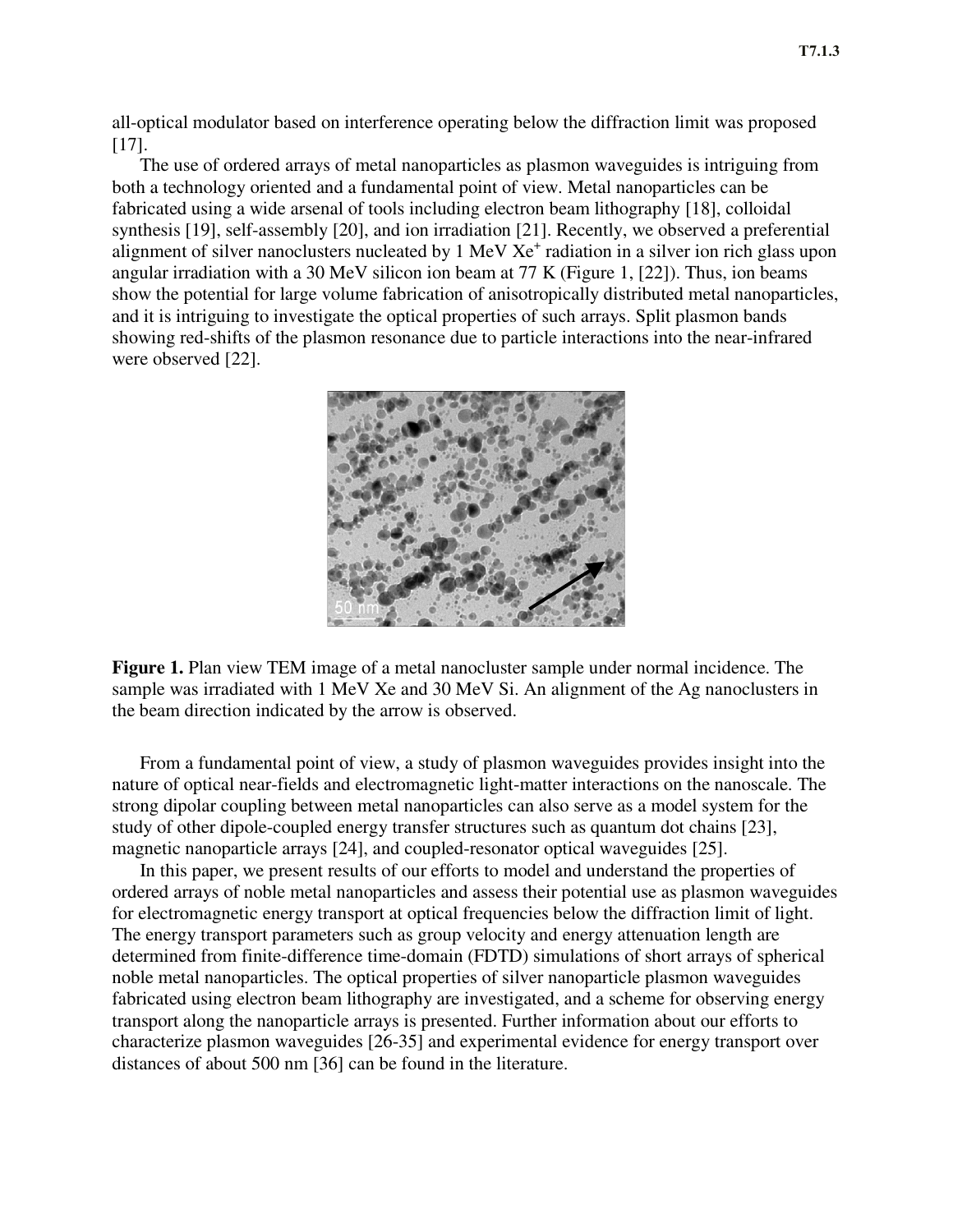all-optical modulator based on interference operating below the diffraction limit was proposed [17].

The use of ordered arrays of metal nanoparticles as plasmon waveguides is intriguing from both a technology oriented and a fundamental point of view. Metal nanoparticles can be fabricated using a wide arsenal of tools including electron beam lithography [18], colloidal synthesis [19], self-assembly [20], and ion irradiation [21]. Recently, we observed a preferential alignment of silver nanoclusters nucleated by 1 MeV Xe<sup>+</sup> radiation in a silver ion rich glass upon angular irradiation with a 30 MeV silicon ion beam at 77 K (Figure 1, [22]). Thus, ion beams show the potential for large volume fabrication of anisotropically distributed metal nanoparticles, and it is intriguing to investigate the optical properties of such arrays. Split plasmon bands showing red-shifts of the plasmon resonance due to particle interactions into the near-infrared were observed [22].



**Figure 1.** Plan view TEM image of a metal nanocluster sample under normal incidence. The sample was irradiated with 1 MeV Xe and 30 MeV Si. An alignment of the Ag nanoclusters in the beam direction indicated by the arrow is observed.

From a fundamental point of view, a study of plasmon waveguides provides insight into the nature of optical near-fields and electromagnetic light-matter interactions on the nanoscale. The strong dipolar coupling between metal nanoparticles can also serve as a model system for the study of other dipole-coupled energy transfer structures such as quantum dot chains [23], magnetic nanoparticle arrays [24], and coupled-resonator optical waveguides [25].

In this paper, we present results of our efforts to model and understand the properties of ordered arrays of noble metal nanoparticles and assess their potential use as plasmon waveguides for electromagnetic energy transport at optical frequencies below the diffraction limit of light. The energy transport parameters such as group velocity and energy attenuation length are determined from finite-difference time-domain (FDTD) simulations of short arrays of spherical noble metal nanoparticles. The optical properties of silver nanoparticle plasmon waveguides fabricated using electron beam lithography are investigated, and a scheme for observing energy transport along the nanoparticle arrays is presented. Further information about our efforts to characterize plasmon waveguides [26-35] and experimental evidence for energy transport over distances of about 500 nm [36] can be found in the literature.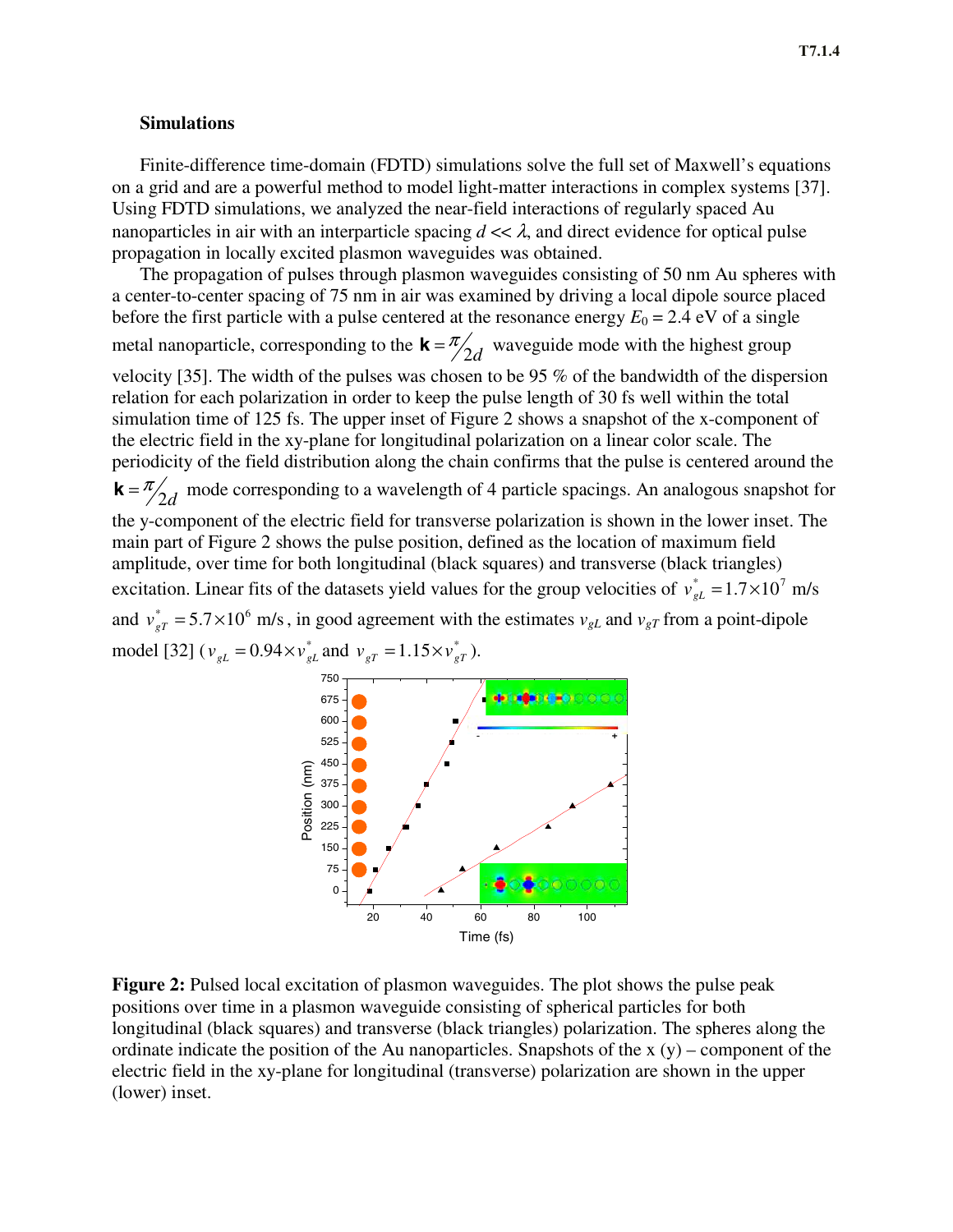# **Simulations**

Finite-difference time-domain (FDTD) simulations solve the full set of Maxwell's equations on a grid and are a powerful method to model light-matter interactions in complex systems [37]. Using FDTD simulations, we analyzed the near-field interactions of regularly spaced Au nanoparticles in air with an interparticle spacing  $d \ll \lambda$ , and direct evidence for optical pulse propagation in locally excited plasmon waveguides was obtained.

The propagation of pulses through plasmon waveguides consisting of 50 nm Au spheres with a center-to-center spacing of 75 nm in air was examined by driving a local dipole source placed before the first particle with a pulse centered at the resonance energy  $E_0 = 2.4$  eV of a single metal nanoparticle, corresponding to the  $\mathbf{k} = \frac{\pi}{2d}$  waveguide mode with the highest group

velocity [35]. The width of the pulses was chosen to be 95 % of the bandwidth of the dispersion relation for each polarization in order to keep the pulse length of 30 fs well within the total simulation time of 125 fs. The upper inset of Figure 2 shows a snapshot of the x-component of the electric field in the xy-plane for longitudinal polarization on a linear color scale. The periodicity of the field distribution along the chain confirms that the pulse is centered around the  $\mathbf{k} = \frac{\pi}{2d}$  mode corresponding to a wavelength of 4 particle spacings. An analogous snapshot for the y-component of the electric field for transverse polarization is shown in the lower inset. The main part of Figure 2 shows the pulse position, defined as the location of maximum field amplitude, over time for both longitudinal (black squares) and transverse (black triangles) excitation. Linear fits of the datasets yield values for the group velocities of  $v_{gL}^* = 1.7 \times 10^7$  m/s and  $v_{gr}^* = 5.7 \times 10^6$  m/s, in good agreement with the estimates  $v_{gL}$  and  $v_{gr}$  from a point-dipole model [32] ( $v_{gL} = 0.94 \times v_{gL}^{*}$  and  $v_{gr} = 1.15 \times v_{gr}^{*}$ ).



**Figure 2:** Pulsed local excitation of plasmon waveguides. The plot shows the pulse peak positions over time in a plasmon waveguide consisting of spherical particles for both longitudinal (black squares) and transverse (black triangles) polarization. The spheres along the ordinate indicate the position of the Au nanoparticles. Snapshots of the  $x(y)$  – component of the electric field in the xy-plane for longitudinal (transverse) polarization are shown in the upper (lower) inset.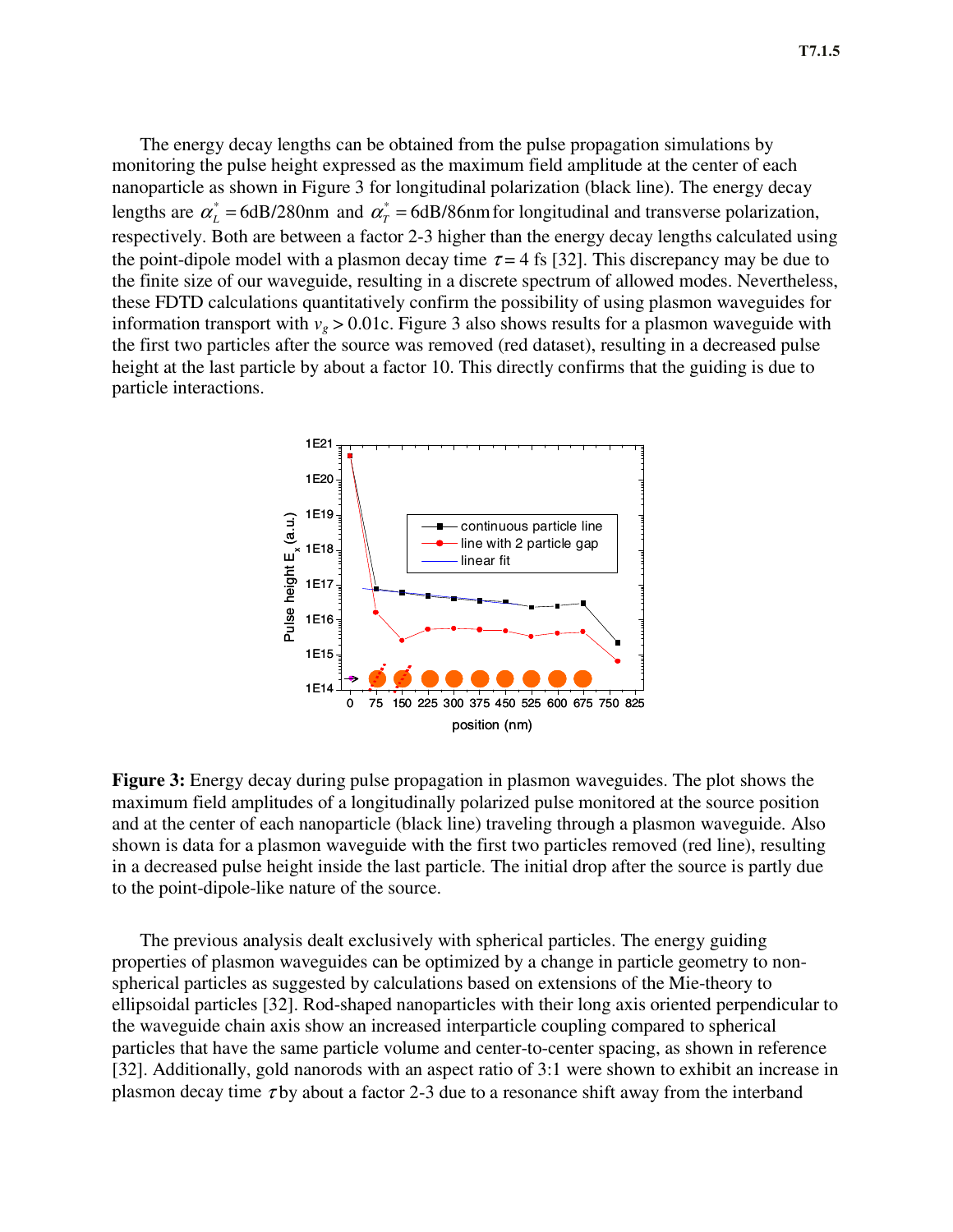The energy decay lengths can be obtained from the pulse propagation simulations by monitoring the pulse height expressed as the maximum field amplitude at the center of each nanoparticle as shown in Figure 3 for longitudinal polarization (black line). The energy decay lengths are  $\alpha_L^* = 6dB/280$ nm and  $\alpha_T^* = 6dB/86$ nm for longitudinal and transverse polarization, respectively. Both are between a factor 2-3 higher than the energy decay lengths calculated using the point-dipole model with a plasmon decay time  $\tau = 4$  fs [32]. This discrepancy may be due to the finite size of our waveguide, resulting in a discrete spectrum of allowed modes. Nevertheless, these FDTD calculations quantitatively confirm the possibility of using plasmon waveguides for information transport with  $v_g > 0.01c$ . Figure 3 also shows results for a plasmon waveguide with the first two particles after the source was removed (red dataset), resulting in a decreased pulse height at the last particle by about a factor 10. This directly confirms that the guiding is due to particle interactions.



**Figure 3:** Energy decay during pulse propagation in plasmon waveguides. The plot shows the maximum field amplitudes of a longitudinally polarized pulse monitored at the source position and at the center of each nanoparticle (black line) traveling through a plasmon waveguide. Also shown is data for a plasmon waveguide with the first two particles removed (red line), resulting in a decreased pulse height inside the last particle. The initial drop after the source is partly due to the point-dipole-like nature of the source.

The previous analysis dealt exclusively with spherical particles. The energy guiding properties of plasmon waveguides can be optimized by a change in particle geometry to nonspherical particles as suggested by calculations based on extensions of the Mie-theory to ellipsoidal particles [32]. Rod-shaped nanoparticles with their long axis oriented perpendicular to the waveguide chain axis show an increased interparticle coupling compared to spherical particles that have the same particle volume and center-to-center spacing, as shown in reference [32]. Additionally, gold nanorods with an aspect ratio of 3:1 were shown to exhibit an increase in plasmon decay time  $\tau$  by about a factor 2-3 due to a resonance shift away from the interband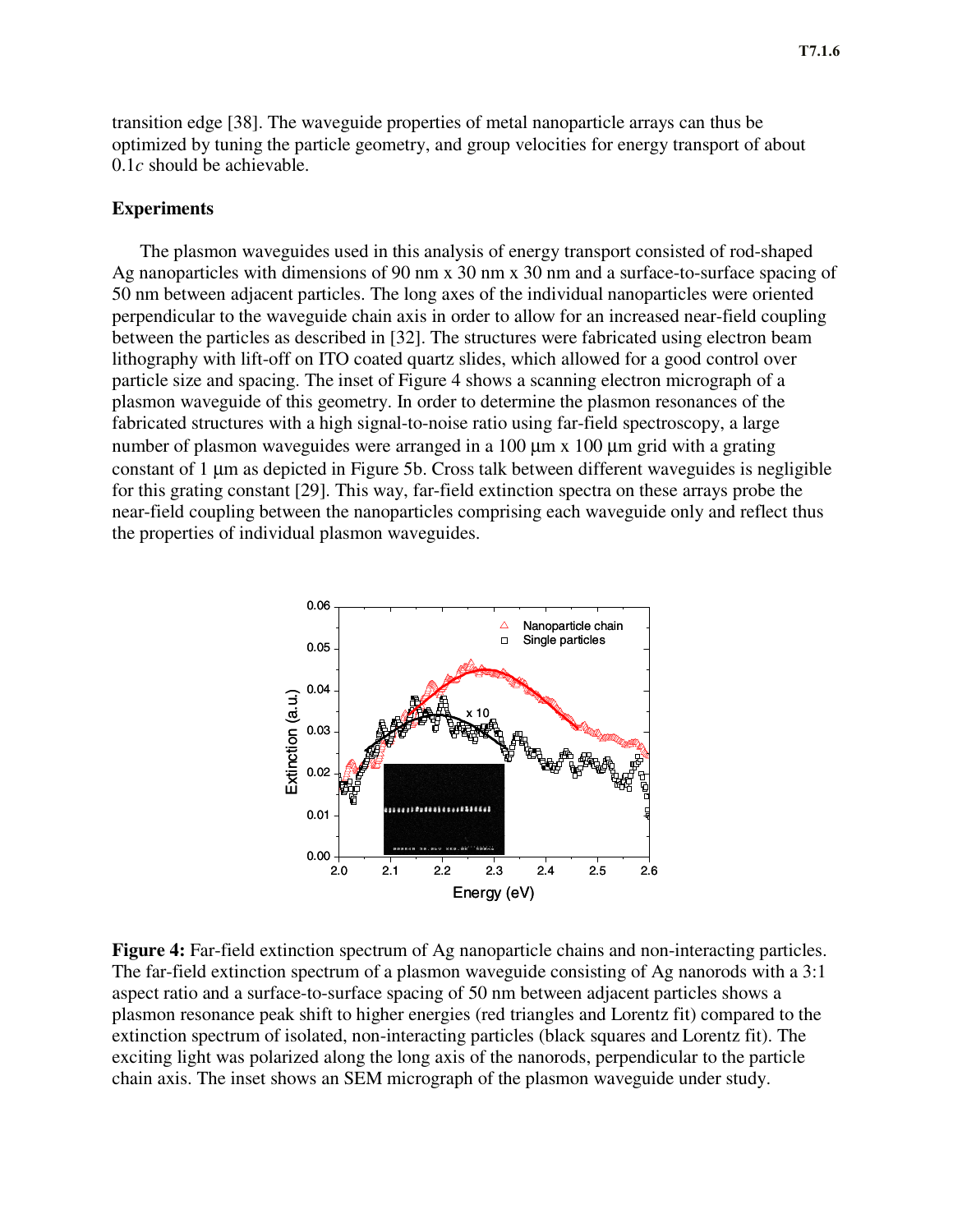transition edge [38]. The waveguide properties of metal nanoparticle arrays can thus be optimized by tuning the particle geometry, and group velocities for energy transport of about 0.1*c* should be achievable.

#### **Experiments**

The plasmon waveguides used in this analysis of energy transport consisted of rod-shaped Ag nanoparticles with dimensions of 90 nm x 30 nm x 30 nm and a surface-to-surface spacing of 50 nm between adjacent particles. The long axes of the individual nanoparticles were oriented perpendicular to the waveguide chain axis in order to allow for an increased near-field coupling between the particles as described in [32]. The structures were fabricated using electron beam lithography with lift-off on ITO coated quartz slides, which allowed for a good control over particle size and spacing. The inset of Figure 4 shows a scanning electron micrograph of a plasmon waveguide of this geometry. In order to determine the plasmon resonances of the fabricated structures with a high signal-to-noise ratio using far-field spectroscopy, a large number of plasmon waveguides were arranged in a 100 μm x 100 μm grid with a grating constant of 1 μm as depicted in Figure 5b. Cross talk between different waveguides is negligible for this grating constant [29]. This way, far-field extinction spectra on these arrays probe the near-field coupling between the nanoparticles comprising each waveguide only and reflect thus the properties of individual plasmon waveguides.



**Figure 4:** Far-field extinction spectrum of Ag nanoparticle chains and non-interacting particles. The far-field extinction spectrum of a plasmon waveguide consisting of Ag nanorods with a 3:1 aspect ratio and a surface-to-surface spacing of 50 nm between adjacent particles shows a plasmon resonance peak shift to higher energies (red triangles and Lorentz fit) compared to the extinction spectrum of isolated, non-interacting particles (black squares and Lorentz fit). The exciting light was polarized along the long axis of the nanorods, perpendicular to the particle chain axis. The inset shows an SEM micrograph of the plasmon waveguide under study.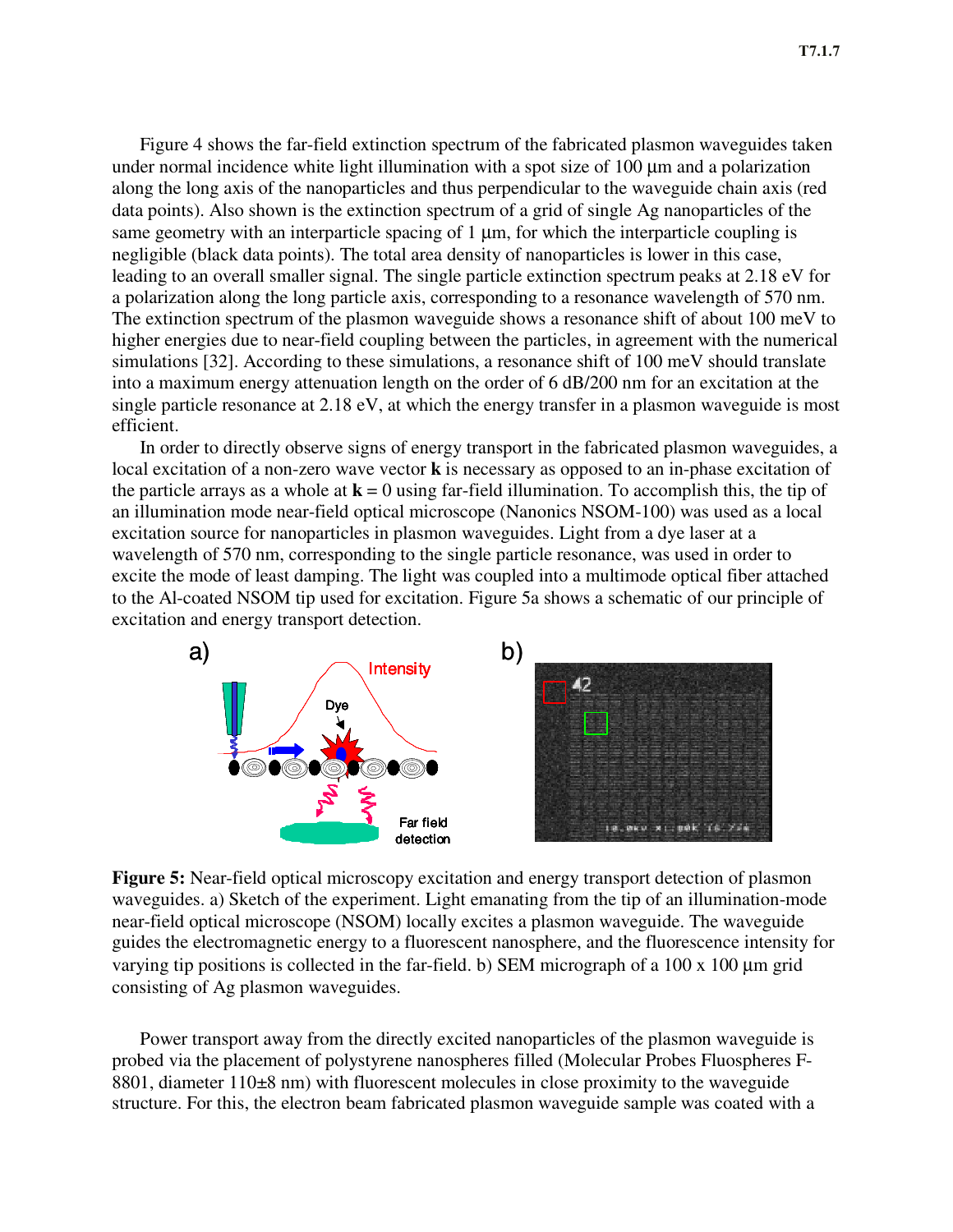Figure 4 shows the far-field extinction spectrum of the fabricated plasmon waveguides taken under normal incidence white light illumination with a spot size of 100 μm and a polarization along the long axis of the nanoparticles and thus perpendicular to the waveguide chain axis (red data points). Also shown is the extinction spectrum of a grid of single Ag nanoparticles of the same geometry with an interparticle spacing of 1 μm, for which the interparticle coupling is negligible (black data points). The total area density of nanoparticles is lower in this case, leading to an overall smaller signal. The single particle extinction spectrum peaks at 2.18 eV for a polarization along the long particle axis, corresponding to a resonance wavelength of 570 nm. The extinction spectrum of the plasmon waveguide shows a resonance shift of about 100 meV to higher energies due to near-field coupling between the particles, in agreement with the numerical simulations [32]. According to these simulations, a resonance shift of 100 meV should translate into a maximum energy attenuation length on the order of 6 dB/200 nm for an excitation at the single particle resonance at 2.18 eV, at which the energy transfer in a plasmon waveguide is most efficient.

In order to directly observe signs of energy transport in the fabricated plasmon waveguides, a local excitation of a non-zero wave vector **k** is necessary as opposed to an in-phase excitation of the particle arrays as a whole at  $\mathbf{k} = 0$  using far-field illumination. To accomplish this, the tip of an illumination mode near-field optical microscope (Nanonics NSOM-100) was used as a local excitation source for nanoparticles in plasmon waveguides. Light from a dye laser at a wavelength of 570 nm, corresponding to the single particle resonance, was used in order to excite the mode of least damping. The light was coupled into a multimode optical fiber attached to the Al-coated NSOM tip used for excitation. Figure 5a shows a schematic of our principle of excitation and energy transport detection.



**Figure 5:** Near-field optical microscopy excitation and energy transport detection of plasmon waveguides. a) Sketch of the experiment. Light emanating from the tip of an illumination-mode near-field optical microscope (NSOM) locally excites a plasmon waveguide. The waveguide guides the electromagnetic energy to a fluorescent nanosphere, and the fluorescence intensity for varying tip positions is collected in the far-field. b) SEM micrograph of a 100 x 100 μm grid consisting of Ag plasmon waveguides.

Power transport away from the directly excited nanoparticles of the plasmon waveguide is probed via the placement of polystyrene nanospheres filled (Molecular Probes Fluospheres F-8801, diameter  $110\pm 8$  nm) with fluorescent molecules in close proximity to the waveguide structure. For this, the electron beam fabricated plasmon waveguide sample was coated with a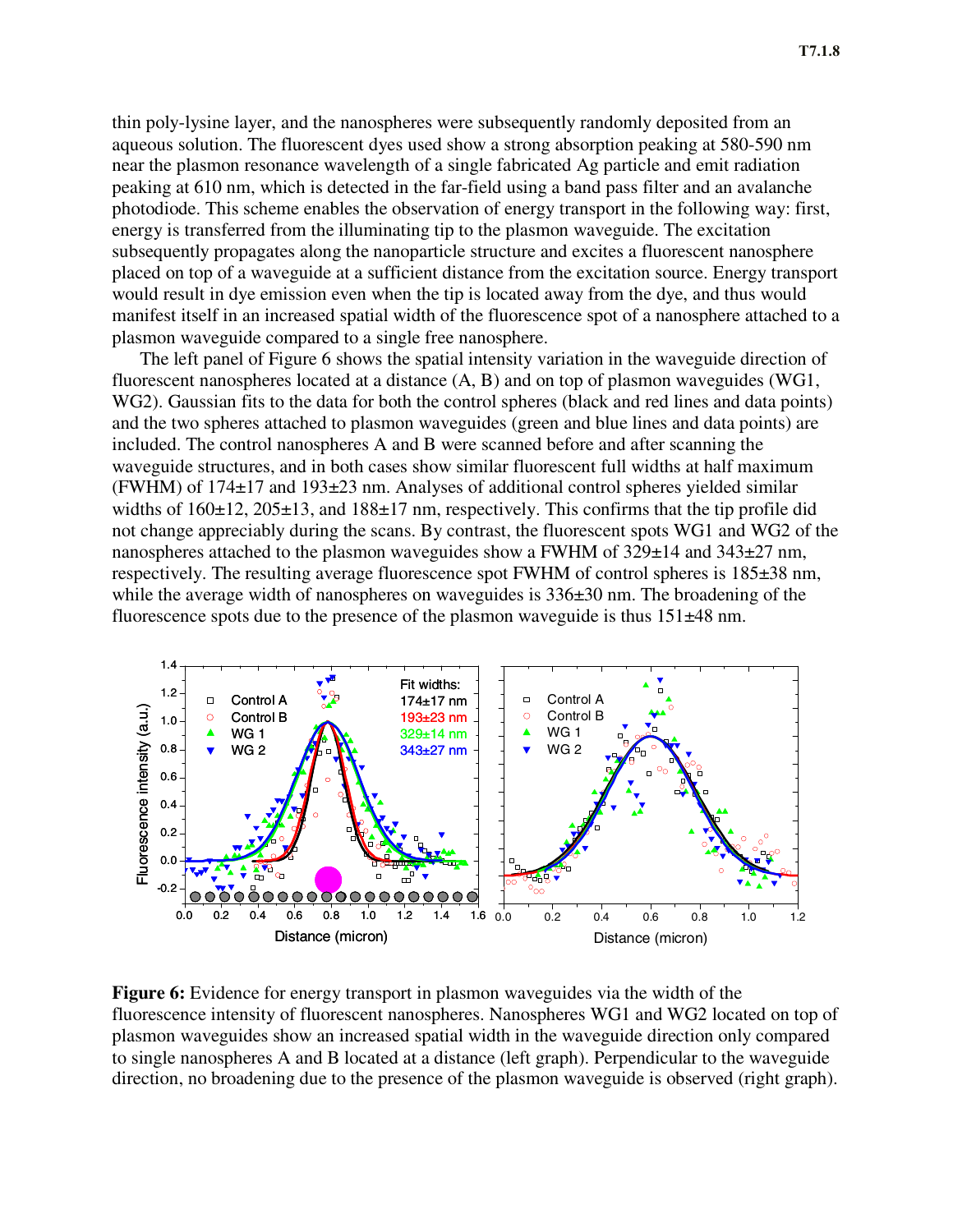thin poly-lysine layer, and the nanospheres were subsequently randomly deposited from an aqueous solution. The fluorescent dyes used show a strong absorption peaking at 580-590 nm near the plasmon resonance wavelength of a single fabricated Ag particle and emit radiation peaking at 610 nm, which is detected in the far-field using a band pass filter and an avalanche photodiode. This scheme enables the observation of energy transport in the following way: first, energy is transferred from the illuminating tip to the plasmon waveguide. The excitation subsequently propagates along the nanoparticle structure and excites a fluorescent nanosphere placed on top of a waveguide at a sufficient distance from the excitation source. Energy transport would result in dye emission even when the tip is located away from the dye, and thus would manifest itself in an increased spatial width of the fluorescence spot of a nanosphere attached to a plasmon waveguide compared to a single free nanosphere.

The left panel of Figure 6 shows the spatial intensity variation in the waveguide direction of fluorescent nanospheres located at a distance (A, B) and on top of plasmon waveguides (WG1, WG2). Gaussian fits to the data for both the control spheres (black and red lines and data points) and the two spheres attached to plasmon waveguides (green and blue lines and data points) are included. The control nanospheres A and B were scanned before and after scanning the waveguide structures, and in both cases show similar fluorescent full widths at half maximum (FWHM) of 174±17 and 193±23 nm. Analyses of additional control spheres yielded similar widths of  $160\pm12$ ,  $205\pm13$ , and  $188\pm17$  nm, respectively. This confirms that the tip profile did not change appreciably during the scans. By contrast, the fluorescent spots WG1 and WG2 of the nanospheres attached to the plasmon waveguides show a FWHM of  $329\pm14$  and  $343\pm27$  nm, respectively. The resulting average fluorescence spot FWHM of control spheres is 185±38 nm, while the average width of nanospheres on waveguides is  $336\pm30$  nm. The broadening of the fluorescence spots due to the presence of the plasmon waveguide is thus 151±48 nm.



**Figure 6:** Evidence for energy transport in plasmon waveguides via the width of the fluorescence intensity of fluorescent nanospheres. Nanospheres WG1 and WG2 located on top of plasmon waveguides show an increased spatial width in the waveguide direction only compared to single nanospheres A and B located at a distance (left graph). Perpendicular to the waveguide direction, no broadening due to the presence of the plasmon waveguide is observed (right graph).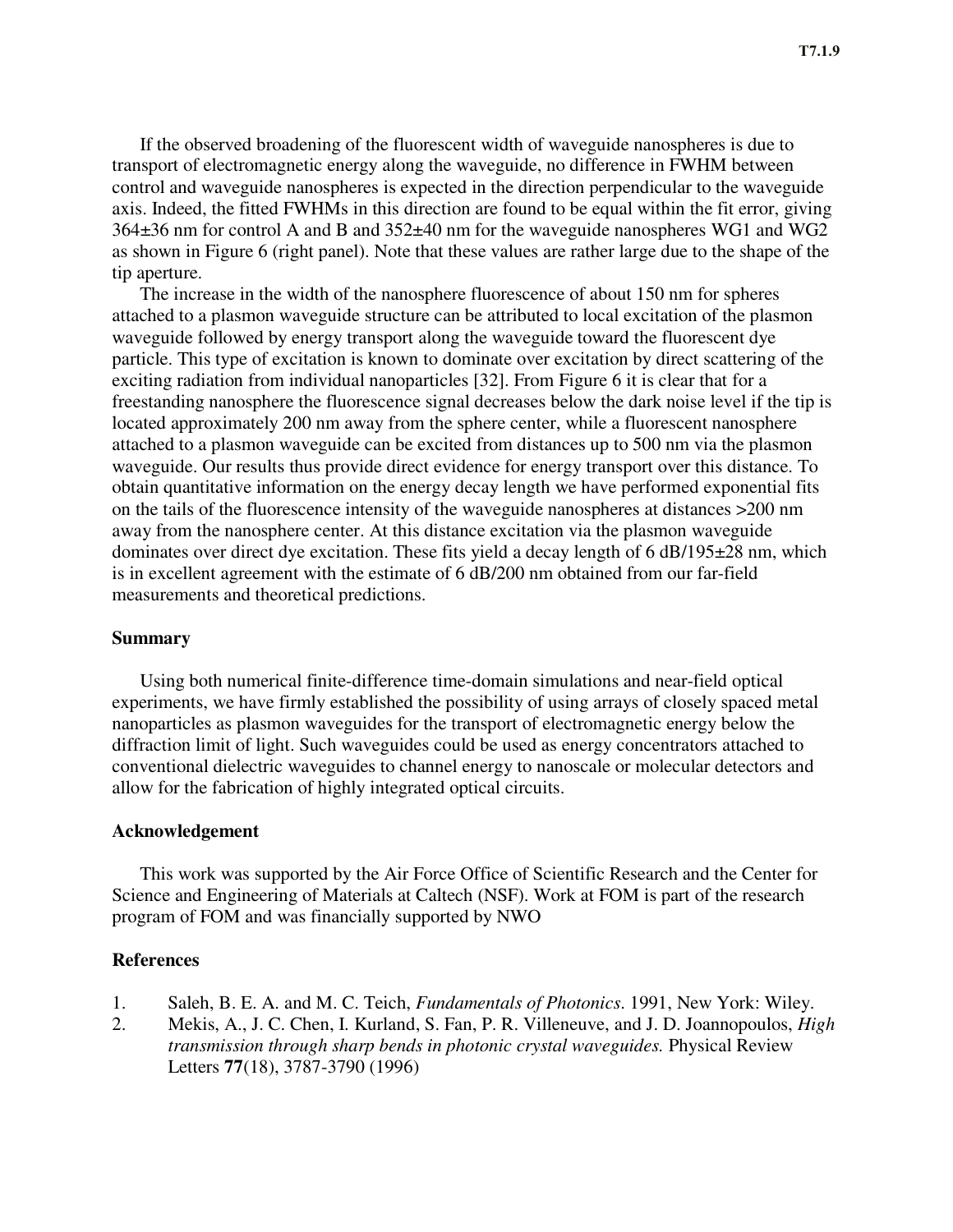If the observed broadening of the fluorescent width of waveguide nanospheres is due to transport of electromagnetic energy along the waveguide, no difference in FWHM between control and waveguide nanospheres is expected in the direction perpendicular to the waveguide axis. Indeed, the fitted FWHMs in this direction are found to be equal within the fit error, giving 364±36 nm for control A and B and 352±40 nm for the waveguide nanospheres WG1 and WG2 as shown in Figure 6 (right panel). Note that these values are rather large due to the shape of the tip aperture.

The increase in the width of the nanosphere fluorescence of about 150 nm for spheres attached to a plasmon waveguide structure can be attributed to local excitation of the plasmon waveguide followed by energy transport along the waveguide toward the fluorescent dye particle. This type of excitation is known to dominate over excitation by direct scattering of the exciting radiation from individual nanoparticles [32]. From Figure 6 it is clear that for a freestanding nanosphere the fluorescence signal decreases below the dark noise level if the tip is located approximately 200 nm away from the sphere center, while a fluorescent nanosphere attached to a plasmon waveguide can be excited from distances up to 500 nm via the plasmon waveguide. Our results thus provide direct evidence for energy transport over this distance. To obtain quantitative information on the energy decay length we have performed exponential fits on the tails of the fluorescence intensity of the waveguide nanospheres at distances >200 nm away from the nanosphere center. At this distance excitation via the plasmon waveguide dominates over direct dye excitation. These fits yield a decay length of 6 dB/195±28 nm, which is in excellent agreement with the estimate of 6 dB/200 nm obtained from our far-field measurements and theoretical predictions.

# **Summary**

Using both numerical finite-difference time-domain simulations and near-field optical experiments, we have firmly established the possibility of using arrays of closely spaced metal nanoparticles as plasmon waveguides for the transport of electromagnetic energy below the diffraction limit of light. Such waveguides could be used as energy concentrators attached to conventional dielectric waveguides to channel energy to nanoscale or molecular detectors and allow for the fabrication of highly integrated optical circuits.

### **Acknowledgement**

This work was supported by the Air Force Office of Scientific Research and the Center for Science and Engineering of Materials at Caltech (NSF). Work at FOM is part of the research program of FOM and was financially supported by NWO

## **References**

- 1. Saleh, B. E. A. and M. C. Teich, *Fundamentals of Photonics*. 1991, New York: Wiley.
- 2. Mekis, A., J. C. Chen, I. Kurland, S. Fan, P. R. Villeneuve, and J. D. Joannopoulos, *High transmission through sharp bends in photonic crystal waveguides.* Physical Review Letters **77**(18), 3787-3790 (1996)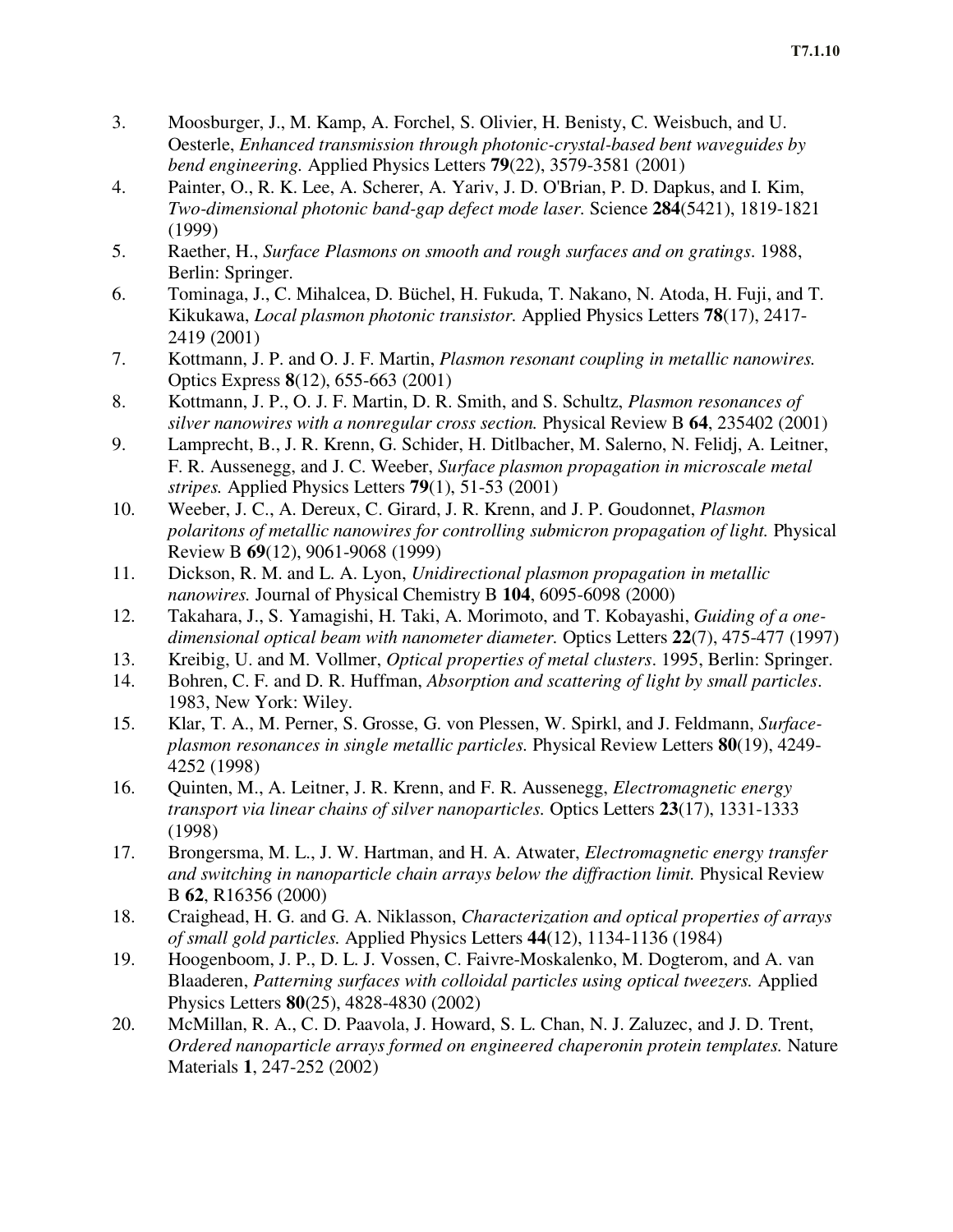- 3. Moosburger, J., M. Kamp, A. Forchel, S. Olivier, H. Benisty, C. Weisbuch, and U. Oesterle, *Enhanced transmission through photonic-crystal-based bent waveguides by bend engineering.* Applied Physics Letters **79**(22), 3579-3581 (2001)
- 4. Painter, O., R. K. Lee, A. Scherer, A. Yariv, J. D. O'Brian, P. D. Dapkus, and I. Kim, *Two-dimensional photonic band-gap defect mode laser.* Science **284**(5421), 1819-1821 (1999)
- 5. Raether, H., *Surface Plasmons on smooth and rough surfaces and on gratings*. 1988, Berlin: Springer.
- 6. Tominaga, J., C. Mihalcea, D. Büchel, H. Fukuda, T. Nakano, N. Atoda, H. Fuji, and T. Kikukawa, *Local plasmon photonic transistor.* Applied Physics Letters **78**(17), 2417- 2419 (2001)
- 7. Kottmann, J. P. and O. J. F. Martin, *Plasmon resonant coupling in metallic nanowires.* Optics Express **8**(12), 655-663 (2001)
- 8. Kottmann, J. P., O. J. F. Martin, D. R. Smith, and S. Schultz, *Plasmon resonances of silver nanowires with a nonregular cross section.* Physical Review B **64**, 235402 (2001)
- 9. Lamprecht, B., J. R. Krenn, G. Schider, H. Ditlbacher, M. Salerno, N. Felidj, A. Leitner, F. R. Aussenegg, and J. C. Weeber, *Surface plasmon propagation in microscale metal stripes.* Applied Physics Letters **79**(1), 51-53 (2001)
- 10. Weeber, J. C., A. Dereux, C. Girard, J. R. Krenn, and J. P. Goudonnet, *Plasmon polaritons of metallic nanowires for controlling submicron propagation of light.* Physical Review B **69**(12), 9061-9068 (1999)
- 11. Dickson, R. M. and L. A. Lyon, *Unidirectional plasmon propagation in metallic nanowires.* Journal of Physical Chemistry B **104**, 6095-6098 (2000)
- 12. Takahara, J., S. Yamagishi, H. Taki, A. Morimoto, and T. Kobayashi, *Guiding of a onedimensional optical beam with nanometer diameter.* Optics Letters **22**(7), 475-477 (1997)
- 13. Kreibig, U. and M. Vollmer, *Optical properties of metal clusters*. 1995, Berlin: Springer.
- 14. Bohren, C. F. and D. R. Huffman, *Absorption and scattering of light by small particles*. 1983, New York: Wiley.
- 15. Klar, T. A., M. Perner, S. Grosse, G. von Plessen, W. Spirkl, and J. Feldmann, *Surfaceplasmon resonances in single metallic particles.* Physical Review Letters **80**(19), 4249- 4252 (1998)
- 16. Quinten, M., A. Leitner, J. R. Krenn, and F. R. Aussenegg, *Electromagnetic energy transport via linear chains of silver nanoparticles.* Optics Letters **23**(17), 1331-1333 (1998)
- 17. Brongersma, M. L., J. W. Hartman, and H. A. Atwater, *Electromagnetic energy transfer and switching in nanoparticle chain arrays below the diffraction limit.* Physical Review B **62**, R16356 (2000)
- 18. Craighead, H. G. and G. A. Niklasson, *Characterization and optical properties of arrays of small gold particles.* Applied Physics Letters **44**(12), 1134-1136 (1984)
- 19. Hoogenboom, J. P., D. L. J. Vossen, C. Faivre-Moskalenko, M. Dogterom, and A. van Blaaderen, *Patterning surfaces with colloidal particles using optical tweezers.* Applied Physics Letters **80**(25), 4828-4830 (2002)
- 20. McMillan, R. A., C. D. Paavola, J. Howard, S. L. Chan, N. J. Zaluzec, and J. D. Trent, *Ordered nanoparticle arrays formed on engineered chaperonin protein templates.* Nature Materials **1**, 247-252 (2002)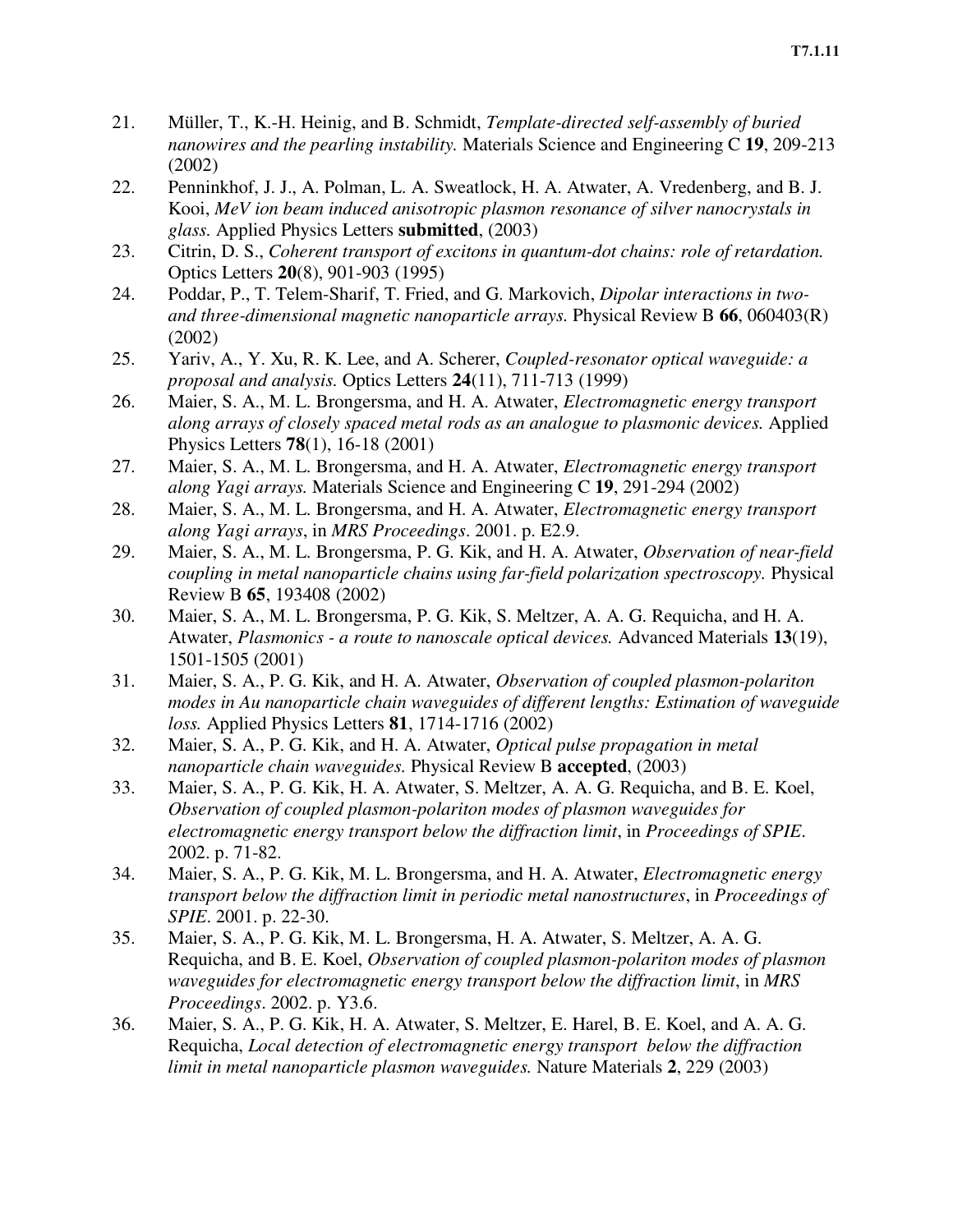- 21. Müller, T., K.-H. Heinig, and B. Schmidt, *Template-directed self-assembly of buried nanowires and the pearling instability.* Materials Science and Engineering C **19**, 209-213 (2002)
- 22. Penninkhof, J. J., A. Polman, L. A. Sweatlock, H. A. Atwater, A. Vredenberg, and B. J. Kooi, *MeV ion beam induced anisotropic plasmon resonance of silver nanocrystals in glass.* Applied Physics Letters **submitted**, (2003)
- 23. Citrin, D. S., *Coherent transport of excitons in quantum-dot chains: role of retardation.* Optics Letters **20**(8), 901-903 (1995)
- 24. Poddar, P., T. Telem-Sharif, T. Fried, and G. Markovich, *Dipolar interactions in twoand three-dimensional magnetic nanoparticle arrays.* Physical Review B **66**, 060403(R) (2002)
- 25. Yariv, A., Y. Xu, R. K. Lee, and A. Scherer, *Coupled-resonator optical waveguide: a proposal and analysis.* Optics Letters **24**(11), 711-713 (1999)
- 26. Maier, S. A., M. L. Brongersma, and H. A. Atwater, *Electromagnetic energy transport along arrays of closely spaced metal rods as an analogue to plasmonic devices.* Applied Physics Letters **78**(1), 16-18 (2001)
- 27. Maier, S. A., M. L. Brongersma, and H. A. Atwater, *Electromagnetic energy transport along Yagi arrays.* Materials Science and Engineering C **19**, 291-294 (2002)
- 28. Maier, S. A., M. L. Brongersma, and H. A. Atwater, *Electromagnetic energy transport along Yagi arrays*, in *MRS Proceedings*. 2001. p. E2.9.
- 29. Maier, S. A., M. L. Brongersma, P. G. Kik, and H. A. Atwater, *Observation of near-field coupling in metal nanoparticle chains using far-field polarization spectroscopy.* Physical Review B **65**, 193408 (2002)
- 30. Maier, S. A., M. L. Brongersma, P. G. Kik, S. Meltzer, A. A. G. Requicha, and H. A. Atwater, *Plasmonics - a route to nanoscale optical devices.* Advanced Materials **13**(19), 1501-1505 (2001)
- 31. Maier, S. A., P. G. Kik, and H. A. Atwater, *Observation of coupled plasmon-polariton modes in Au nanoparticle chain waveguides of different lengths: Estimation of waveguide loss.* Applied Physics Letters **81**, 1714-1716 (2002)
- 32. Maier, S. A., P. G. Kik, and H. A. Atwater, *Optical pulse propagation in metal nanoparticle chain waveguides.* Physical Review B **accepted**, (2003)
- 33. Maier, S. A., P. G. Kik, H. A. Atwater, S. Meltzer, A. A. G. Requicha, and B. E. Koel, *Observation of coupled plasmon-polariton modes of plasmon waveguides for electromagnetic energy transport below the diffraction limit*, in *Proceedings of SPIE*. 2002. p. 71-82.
- 34. Maier, S. A., P. G. Kik, M. L. Brongersma, and H. A. Atwater, *Electromagnetic energy transport below the diffraction limit in periodic metal nanostructures*, in *Proceedings of SPIE*. 2001. p. 22-30.
- 35. Maier, S. A., P. G. Kik, M. L. Brongersma, H. A. Atwater, S. Meltzer, A. A. G. Requicha, and B. E. Koel, *Observation of coupled plasmon-polariton modes of plasmon waveguides for electromagnetic energy transport below the diffraction limit*, in *MRS Proceedings*. 2002. p. Y3.6.
- 36. Maier, S. A., P. G. Kik, H. A. Atwater, S. Meltzer, E. Harel, B. E. Koel, and A. A. G. Requicha, *Local detection of electromagnetic energy transport below the diffraction limit in metal nanoparticle plasmon waveguides.* Nature Materials **2**, 229 (2003)